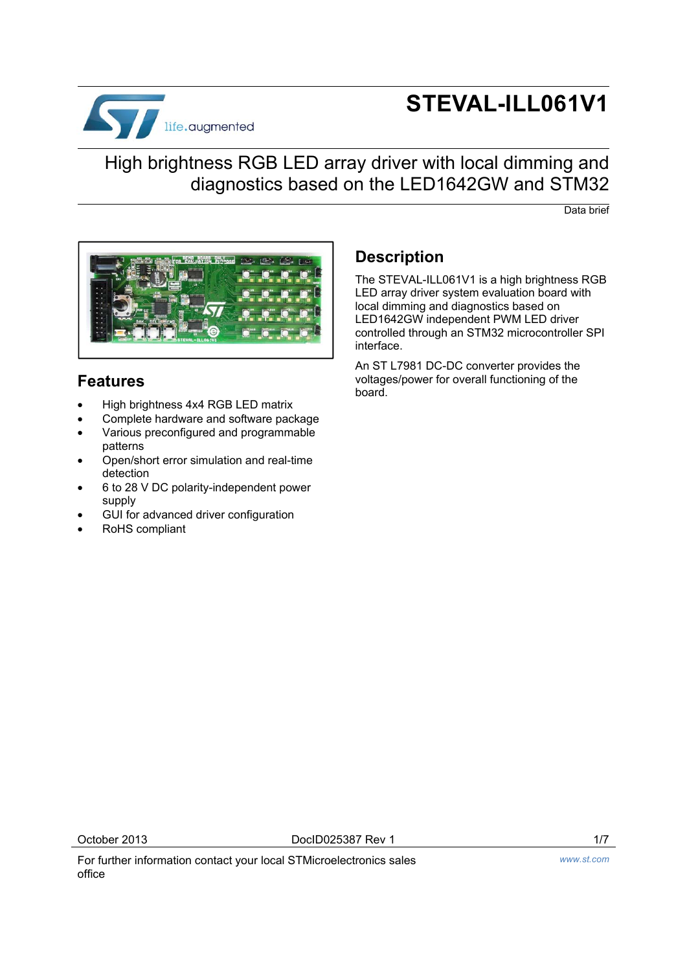

# **STEVAL-ILL061V1**

## High brightness RGB LED array driver with local dimming and diagnostics based on the LED1642GW and STM32

Data brief



## **Features**

- High brightness 4x4 RGB LED matrix
- Complete hardware and software package
- Various preconfigured and programmable patterns
- Open/short error simulation and real-time detection
- 6 to 28 V DC polarity-independent power supply
- GUI for advanced driver configuration
- RoHS compliant

## **Description**

The STEVAL-ILL061V1 is a high brightness RGB LED array driver system evaluation board with local dimming and diagnostics based on LED1642GW independent PWM LED driver controlled through an STM32 microcontroller SPI interface.

An ST L7981 DC-DC converter provides the voltages/power for overall functioning of the board.

October 2013 DocID025387 Rev 1 1/7

For further information contact your local STMicroelectronics sales office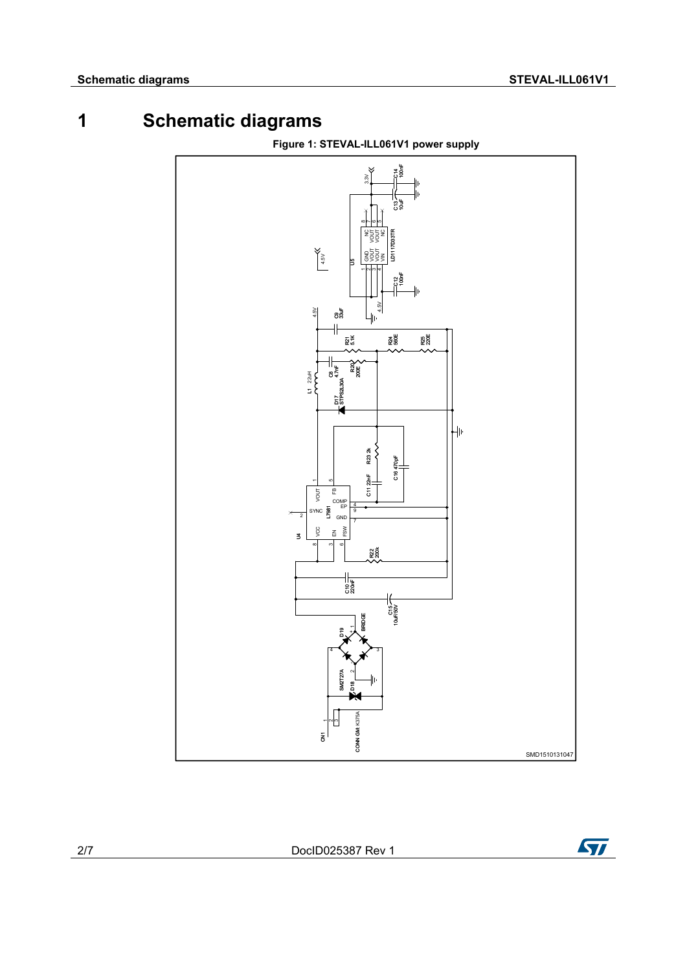# **1 Schematic diagrams**

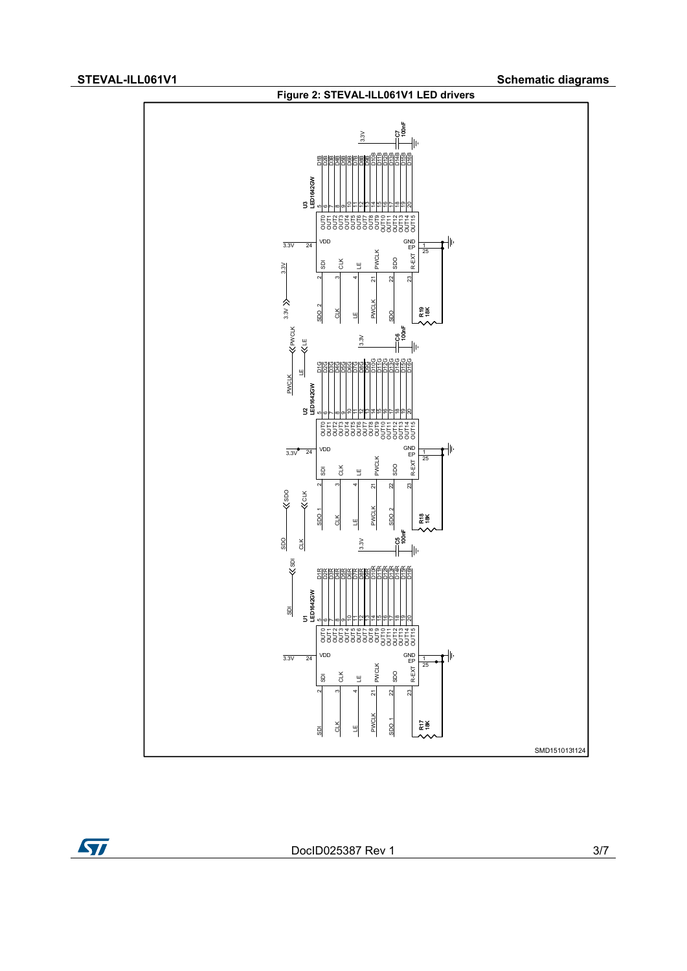$\sqrt{2}$ 



DocID025387 Rev 1 3/7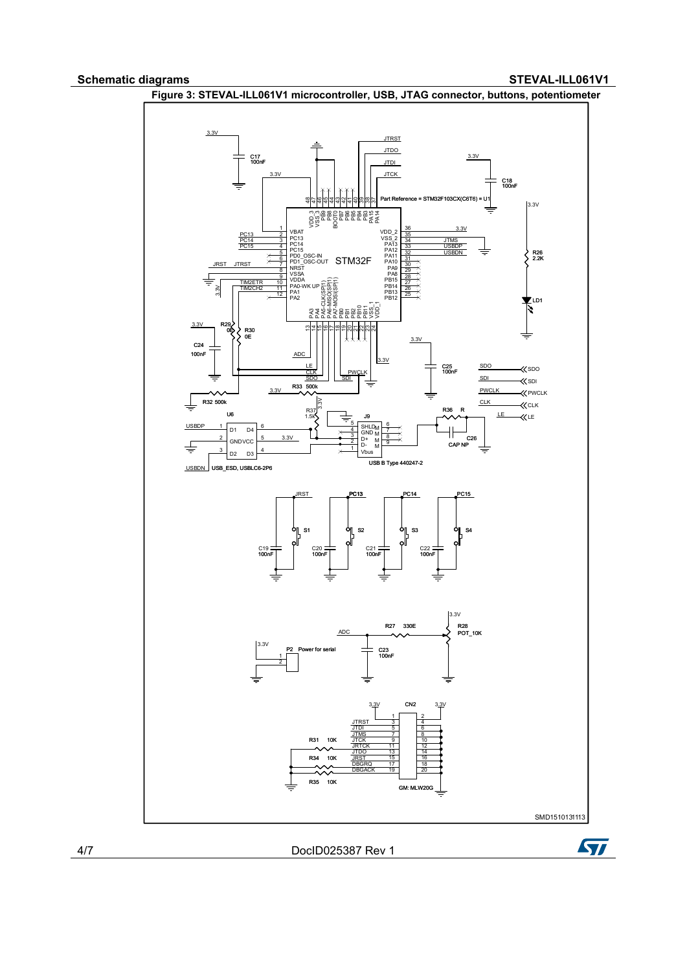### **Schematic diagrams STEVAL-ILL061V1**



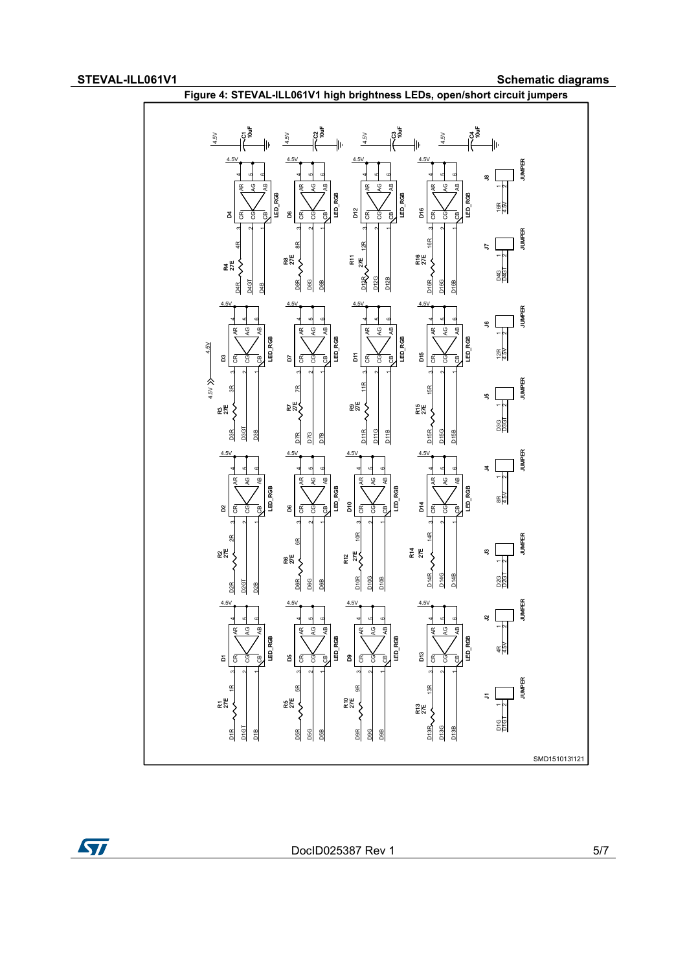$\sqrt{2}$ 

STEVAL-ILL061V1 STEVAL-ILL061V1



DocID025387 Rev 1 5/7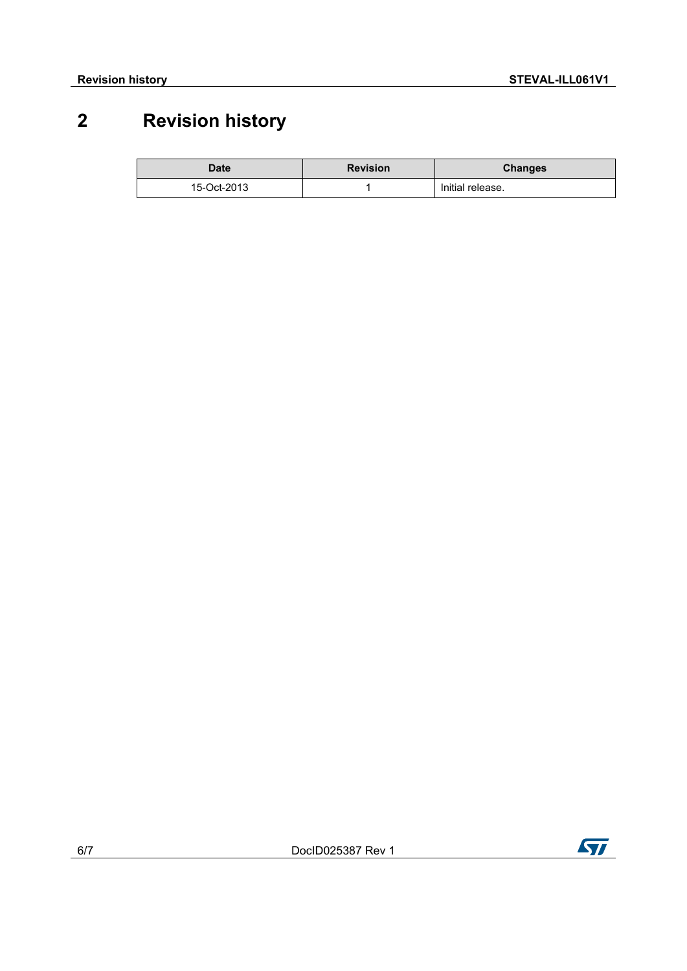# **2 Revision history**

| <b>Date</b> | <b>Revision</b> | <b>Changes</b>   |
|-------------|-----------------|------------------|
| 15-Oct-2013 |                 | Initial release. |